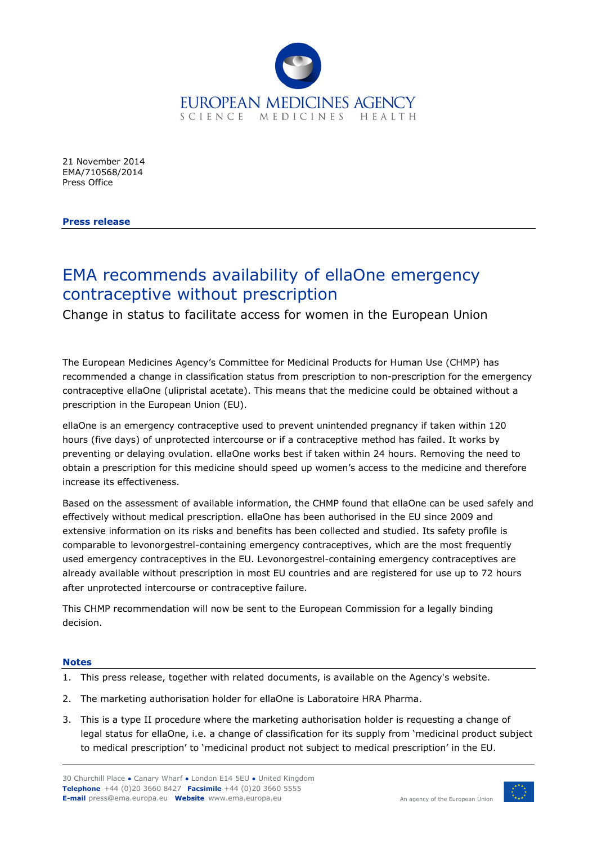

21 November 2014 EMA/710568/2014 Press Office

**Press release**

## EMA recommends availability of ellaOne emergency contraceptive without prescription

Change in status to facilitate access for women in the European Union

The European Medicines Agency's Committee for Medicinal Products for Human Use (CHMP) has recommended a change in classification status from prescription to non-prescription for the emergency contraceptive ellaOne (ulipristal acetate). This means that the medicine could be obtained without a prescription in the European Union (EU).

ellaOne is an emergency contraceptive used to prevent unintended pregnancy if taken within 120 hours (five days) of unprotected intercourse or if a contraceptive method has failed. It works by preventing or delaying ovulation. ellaOne works best if taken within 24 hours. Removing the need to obtain a prescription for this medicine should speed up women's access to the medicine and therefore increase its effectiveness.

Based on the assessment of available information, the CHMP found that ellaOne can be used safely and effectively without medical prescription. ellaOne has been authorised in the EU since 2009 and extensive information on its risks and benefits has been collected and studied. Its safety profile is comparable to levonorgestrel-containing emergency contraceptives, which are the most frequently used emergency contraceptives in the EU. Levonorgestrel-containing emergency contraceptives are already available without prescription in most EU countries and are registered for use up to 72 hours after unprotected intercourse or contraceptive failure.

This CHMP recommendation will now be sent to the European Commission for a legally binding decision.

## **Notes**

- 1. This press release, together with related documents, is available on the Agency's website.
- 2. The marketing authorisation holder for ellaOne is Laboratoire HRA Pharma.
- 3. This is a type II procedure where the marketing authorisation holder is requesting a change of legal status for ellaOne, i.e. a change of classification for its supply from 'medicinal product subject to medical prescription' to 'medicinal product not subject to medical prescription' in the EU.